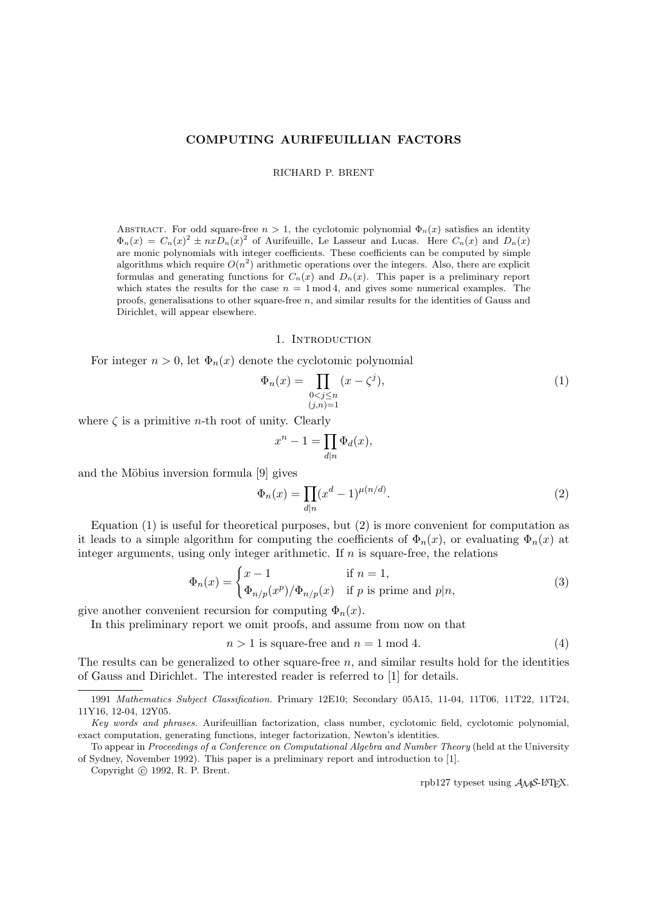### COMPUTING AURIFEUILLIAN FACTORS

RICHARD P. BRENT

ABSTRACT. For odd square-free  $n > 1$ , the cyclotomic polynomial  $\Phi_n(x)$  satisfies an identity  $\Phi_n(x) = C_n(x)^2 \pm nx D_n(x)^2$  of Aurifeuille, Le Lasseur and Lucas. Here  $C_n(x)$  and  $D_n(x)$ are monic polynomials with integer coefficients. These coefficients can be computed by simple algorithms which require  $O(n^2)$  arithmetic operations over the integers. Also, there are explicit formulas and generating functions for  $C_n(x)$  and  $D_n(x)$ . This paper is a preliminary report which states the results for the case  $n = 1 \mod 4$ , and gives some numerical examples. The proofs, generalisations to other square-free  $n$ , and similar results for the identities of Gauss and Dirichlet, will appear elsewhere.

#### 1. INTRODUCTION

For integer  $n > 0$ , let  $\Phi_n(x)$  denote the cyclotomic polynomial

$$
\Phi_n(x) = \prod_{\substack{0 < j \le n \\ (j,n) = 1}} (x - \zeta^j),\tag{1}
$$

where  $\zeta$  is a primitive *n*-th root of unity. Clearly

$$
x^n - 1 = \prod_{d|n} \Phi_d(x),
$$

and the Möbius inversion formula  $[9]$  gives

$$
\Phi_n(x) = \prod_{d|n} (x^d - 1)^{\mu(n/d)}.
$$
\n(2)

Equation (1) is useful for theoretical purposes, but (2) is more convenient for computation as it leads to a simple algorithm for computing the coefficients of  $\Phi_n(x)$ , or evaluating  $\Phi_n(x)$  at integer arguments, using only integer arithmetic. If  $n$  is square-free, the relations

$$
\Phi_n(x) = \begin{cases} x - 1 & \text{if } n = 1, \\ \Phi_{n/p}(x^p) / \Phi_{n/p}(x) & \text{if } p \text{ is prime and } p | n, \end{cases}
$$
(3)

give another convenient recursion for computing  $\Phi_n(x)$ .

In this preliminary report we omit proofs, and assume from now on that

 $n > 1$  is square-free and  $n = 1 \mod 4$ . (4)

The results can be generalized to other square-free  $n$ , and similar results hold for the identities of Gauss and Dirichlet. The interested reader is referred to [1] for details.

Copyright (c) 1992, R. P. Brent.

rpb127 typeset using  $A_{\mathcal{M}}$ S-L<sup>A</sup>T<sub>F</sub>X.

<sup>1991</sup> Mathematics Subject Classification. Primary 12E10; Secondary 05A15, 11-04, 11T06, 11T22, 11T24, 11Y16, 12-04, 12Y05.

Key words and phrases. Aurifeuillian factorization, class number, cyclotomic field, cyclotomic polynomial, exact computation, generating functions, integer factorization, Newton's identities.

To appear in Proceedings of a Conference on Computational Algebra and Number Theory (held at the University of Sydney, November 1992). This paper is a preliminary report and introduction to [1].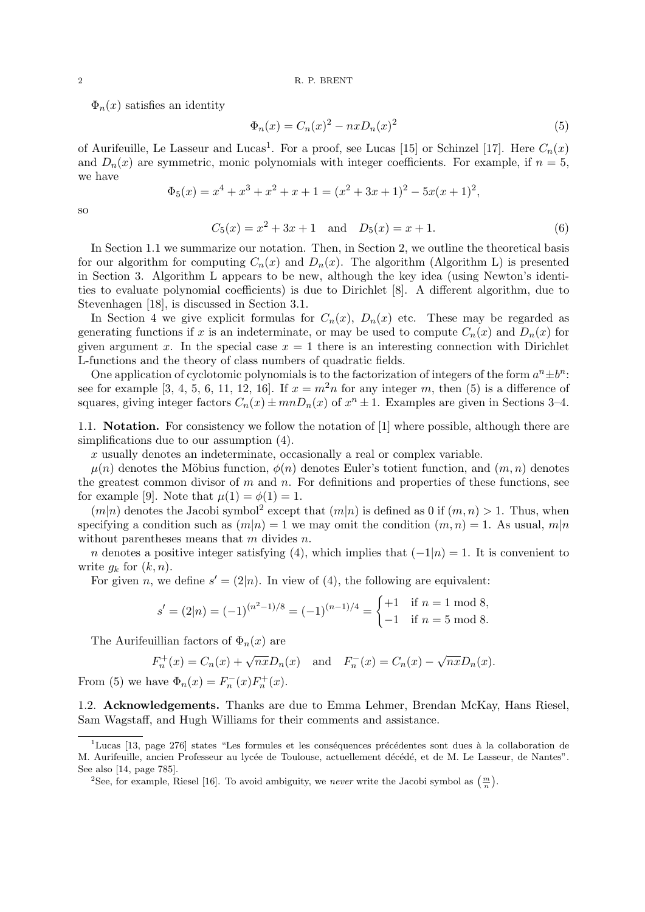$\Phi_n(x)$  satisfies an identity

$$
\Phi_n(x) = C_n(x)^2 - nxD_n(x)^2
$$
\n(5)

of Aurifeuille, Le Lasseur and Lucas<sup>1</sup>. For a proof, see Lucas [15] or Schinzel [17]. Here  $C_n(x)$ and  $D_n(x)$  are symmetric, monic polynomials with integer coefficients. For example, if  $n = 5$ , we have

$$
\Phi_5(x) = x^4 + x^3 + x^2 + x + 1 = (x^2 + 3x + 1)^2 - 5x(x + 1)^2,
$$

so

$$
C_5(x) = x^2 + 3x + 1 \quad \text{and} \quad D_5(x) = x + 1. \tag{6}
$$

In Section 1.1 we summarize our notation. Then, in Section 2, we outline the theoretical basis for our algorithm for computing  $C_n(x)$  and  $D_n(x)$ . The algorithm (Algorithm L) is presented in Section 3. Algorithm L appears to be new, although the key idea (using Newton's identities to evaluate polynomial coefficients) is due to Dirichlet [8]. A different algorithm, due to Stevenhagen [18], is discussed in Section 3.1.

In Section 4 we give explicit formulas for  $C_n(x)$ ,  $D_n(x)$  etc. These may be regarded as generating functions if x is an indeterminate, or may be used to compute  $C_n(x)$  and  $D_n(x)$  for given argument x. In the special case  $x = 1$  there is an interesting connection with Dirichlet L-functions and the theory of class numbers of quadratic fields.

One application of cyclotomic polynomials is to the factorization of integers of the form  $a^n \pm b^n$ . see for example [3, 4, 5, 6, 11, 12, 16]. If  $x = m<sup>2</sup>n$  for any integer m, then (5) is a difference of squares, giving integer factors  $C_n(x) \pm mnD_n(x)$  of  $x^n \pm 1$ . Examples are given in Sections 3-4.

1.1. Notation. For consistency we follow the notation of [1] where possible, although there are simplifications due to our assumption (4).

x usually denotes an indeterminate, occasionally a real or complex variable.

 $\mu(n)$  denotes the Möbius function,  $\phi(n)$  denotes Euler's totient function, and  $(m, n)$  denotes the greatest common divisor of m and n. For definitions and properties of these functions, see for example [9]. Note that  $\mu(1) = \phi(1) = 1$ .

 $(m|n)$  denotes the Jacobi symbol<sup>2</sup> except that  $(m|n)$  is defined as 0 if  $(m, n) > 1$ . Thus, when specifying a condition such as  $(m|n) = 1$  we may omit the condition  $(m, n) = 1$ . As usual,  $m|n$ without parentheses means that  $m$  divides  $n$ .

n denotes a positive integer satisfying (4), which implies that  $(-1|n) = 1$ . It is convenient to write  $g_k$  for  $(k, n)$ .

For given *n*, we define  $s' = (2|n)$ . In view of (4), the following are equivalent:

$$
s' = (2|n) = (-1)^{(n^2 - 1)/8} = (-1)^{(n-1)/4} = \begin{cases} +1 & \text{if } n = 1 \text{ mod } 8, \\ -1 & \text{if } n = 5 \text{ mod } 8. \end{cases}
$$

The Aurifeuillian factors of  $\Phi_n(x)$  are

$$
F_n^+(x) = C_n(x) + \sqrt{nx}D_n(x)
$$
 and  $F_n^-(x) = C_n(x) - \sqrt{nx}D_n(x)$ .

From (5) we have  $\Phi_n(x) = F_n^{-}(x)F_n^{+}(x)$ .

F

1.2. Acknowledgements. Thanks are due to Emma Lehmer, Brendan McKay, Hans Riesel, Sam Wagstaff, and Hugh Williams for their comments and assistance.

<sup>&</sup>lt;sup>1</sup>Lucas [13, page 276] states "Les formules et les conséquences précédentes sont dues à la collaboration de M. Aurifeuille, ancien Professeur au lycée de Toulouse, actuellement décédé, et de M. Le Lasseur, de Nantes". See also [14, page 785].

<sup>&</sup>lt;sup>2</sup>See, for example, Riesel [16]. To avoid ambiguity, we *never* write the Jacobi symbol as  $\left(\frac{m}{n}\right)$ .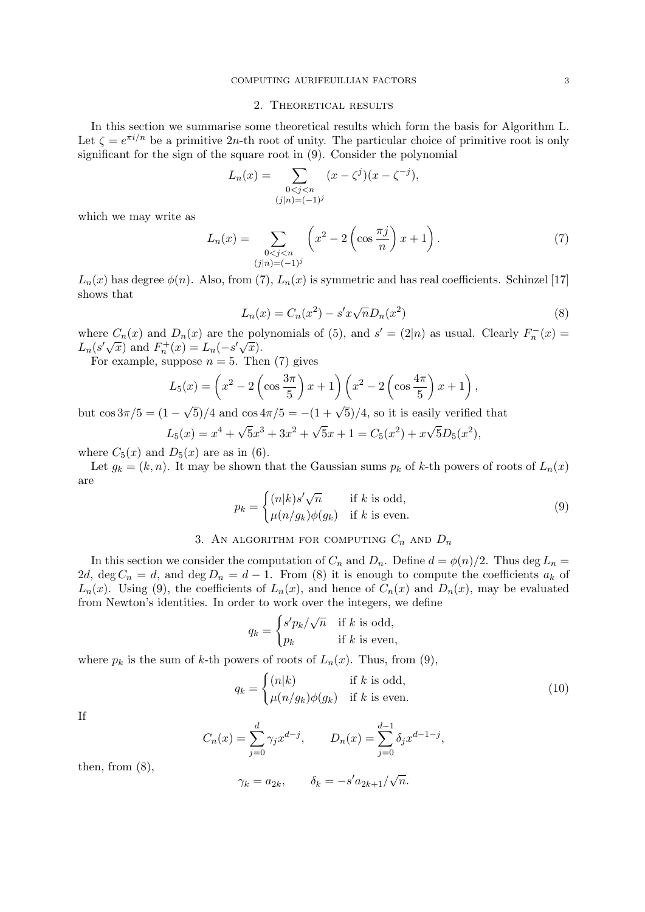#### 2. Theoretical results

In this section we summarise some theoretical results which form the basis for Algorithm L. Let  $\zeta = e^{\pi i/n}$  be a primitive 2n-th root of unity. The particular choice of primitive root is only significant for the sign of the square root in (9). Consider the polynomial

$$
L_n(x) = \sum_{\substack{0 < j < n \\ (j|n) = (-1)^j}} (x - \zeta^j)(x - \zeta^{-j}),
$$

which we may write as

$$
L_n(x) = \sum_{\substack{0 < j < n \\ (j|n) = (-1)^j}} \left( x^2 - 2 \left( \cos \frac{\pi j}{n} \right) x + 1 \right). \tag{7}
$$

 $L_n(x)$  has degree  $\phi(n)$ . Also, from (7),  $L_n(x)$  is symmetric and has real coefficients. Schinzel [17] shows that

$$
L_n(x) = C_n(x^2) - s'x\sqrt{n}D_n(x^2)
$$
\n(8)

where  $C_n(x)$  and  $D_n(x)$  are the polynomials of (5), and  $s' = (2|n)$  as usual. Clearly  $F_n^{-}(x) =$ where  $C_n(x)$  and  $D_n(x)$  are the politically  $L_n(s'\sqrt{x})$  and  $F_n^+(x) = L_n(-s'\sqrt{x})$ .

For example, suppose  $n = 5$ . Then (7) gives

$$
L_5(x) = \left(x^2 - 2\left(\cos\frac{3\pi}{5}\right)x + 1\right)\left(x^2 - 2\left(\cos\frac{4\pi}{5}\right)x + 1\right),\,
$$

but  $\cos 3\pi/5 = (1 \sqrt{5}/4$  and  $\cos 4\pi/5 = -(1+\sqrt{5})/4$ , so it is easily verified that

$$
L_5(x) = x^4 + \sqrt{5}x^3 + 3x^2 + \sqrt{5}x + 1 = C_5(x^2) + x\sqrt{5}D_5(x^2),
$$

where  $C_5(x)$  and  $D_5(x)$  are as in (6).

Let  $g_k = (k, n)$ . It may be shown that the Gaussian sums  $p_k$  of k-th powers of roots of  $L_n(x)$ are

$$
p_k = \begin{cases} (n|k)s'\sqrt{n} & \text{if } k \text{ is odd,} \\ \mu(n/g_k)\phi(g_k) & \text{if } k \text{ is even.} \end{cases}
$$
 (9)

## 3. AN ALGORITHM FOR COMPUTING  $C_n$  and  $D_n$

In this section we consider the computation of  $C_n$  and  $D_n$ . Define  $d = \phi(n)/2$ . Thus deg  $L_n =$ 2d, deg  $C_n = d$ , and deg  $D_n = d - 1$ . From (8) it is enough to compute the coefficients  $a_k$  of  $L_n(x)$ . Using (9), the coefficients of  $L_n(x)$ , and hence of  $C_n(x)$  and  $D_n(x)$ , may be evaluated from Newton's identities. In order to work over the integers, we define

$$
q_k = \begin{cases} s'p_k/\sqrt{n} & \text{if } k \text{ is odd,} \\ p_k & \text{if } k \text{ is even,} \end{cases}
$$

where  $p_k$  is the sum of k-th powers of roots of  $L_n(x)$ . Thus, from (9),

$$
q_k = \begin{cases} (n|k) & \text{if } k \text{ is odd,} \\ \mu(n/g_k)\phi(g_k) & \text{if } k \text{ is even.} \end{cases}
$$
 (10)

If

$$
C_n(x) = \sum_{j=0}^d \gamma_j x^{d-j}, \qquad D_n(x) = \sum_{j=0}^{d-1} \delta_j x^{d-1-j},
$$

then, from  $(8)$ ,

$$
\gamma_k = a_{2k}, \qquad \delta_k = -s' a_{2k+1}/\sqrt{n}.
$$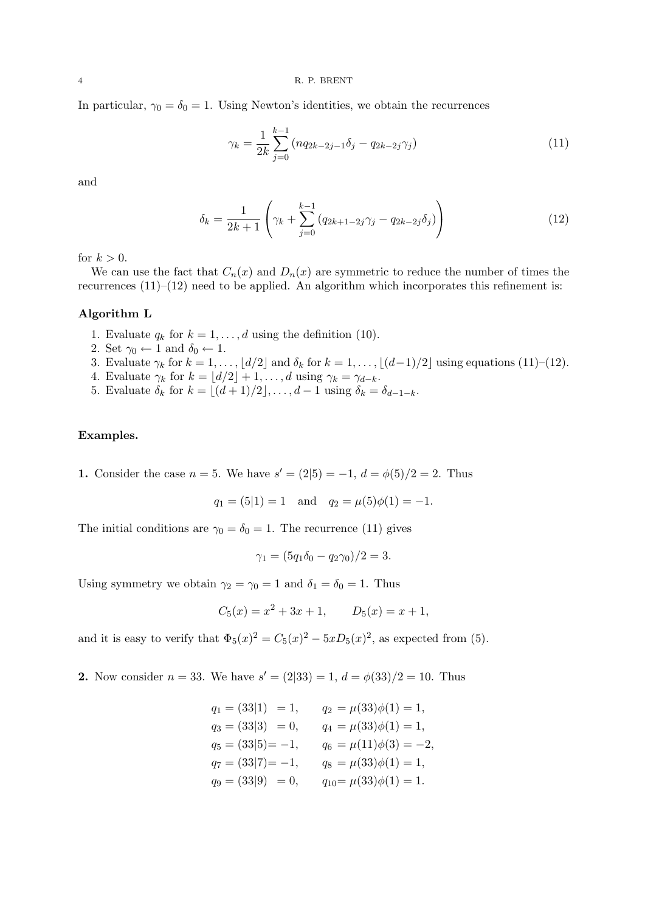4 R. P. BRENT

In particular,  $\gamma_0 = \delta_0 = 1$ . Using Newton's identities, we obtain the recurrences

$$
\gamma_k = \frac{1}{2k} \sum_{j=0}^{k-1} \left( nq_{2k-2j-1} \delta_j - q_{2k-2j} \gamma_j \right) \tag{11}
$$

and

$$
\delta_k = \frac{1}{2k+1} \left( \gamma_k + \sum_{j=0}^{k-1} \left( q_{2k+1-2j} \gamma_j - q_{2k-2j} \delta_j \right) \right) \tag{12}
$$

for  $k > 0$ .

We can use the fact that  $C_n(x)$  and  $D_n(x)$  are symmetric to reduce the number of times the recurrences  $(11)$ – $(12)$  need to be applied. An algorithm which incorporates this refinement is:

#### Algorithm L

- 1. Evaluate  $q_k$  for  $k = 1, \ldots, d$  using the definition (10).
- 2. Set  $\gamma_0 \leftarrow 1$  and  $\delta_0 \leftarrow 1$ .
- 3. Evaluate  $\gamma_k$  for  $k = 1, \ldots, |d/2|$  and  $\delta_k$  for  $k = 1, \ldots, |(d-1)/2|$  using equations (11)–(12).
- 4. Evaluate  $\gamma_k$  for  $k = \lfloor d/2 \rfloor + 1, \ldots, d$  using  $\gamma_k = \gamma_{d-k}$ .
- 5. Evaluate  $\delta_k$  for  $k = \lfloor (d + 1)/2 \rfloor, \ldots, d 1$  using  $\delta_k = \delta_{d-1-k}$ .

### Examples.

1. Consider the case  $n = 5$ . We have  $s' = (2|5) = -1, d = \phi(5)/2 = 2$ . Thus

$$
q_1 = (5|1) = 1
$$
 and  $q_2 = \mu(5)\phi(1) = -1$ .

The initial conditions are  $\gamma_0 = \delta_0 = 1$ . The recurrence (11) gives

$$
\gamma_1 = (5q_1\delta_0 - q_2\gamma_0)/2 = 3.
$$

Using symmetry we obtain  $\gamma_2 = \gamma_0 = 1$  and  $\delta_1 = \delta_0 = 1$ . Thus

$$
C_5(x) = x^2 + 3x + 1, \qquad D_5(x) = x + 1,
$$

and it is easy to verify that  $\Phi_5(x)^2 = C_5(x)^2 - 5xD_5(x)^2$ , as expected from (5).

**2.** Now consider  $n = 33$ . We have  $s' = (2|33) = 1$ ,  $d = \phi(33)/2 = 10$ . Thus

| $q_1 = (33 1) = 1,$  | $q_2 = \mu(33)\phi(1) = 1,$    |
|----------------------|--------------------------------|
| $q_3 = (33 3) = 0,$  | $q_4 = \mu(33)\phi(1) = 1,$    |
| $q_5 = (33 5) = -1,$ | $q_6 = \mu(11)\phi(3) = -2,$   |
| $q_7 = (33 7) = -1,$ | $q_8 = \mu(33)\phi(1) = 1,$    |
| $q_9 = (33 9) = 0,$  | $q_{10} = \mu(33)\phi(1) = 1.$ |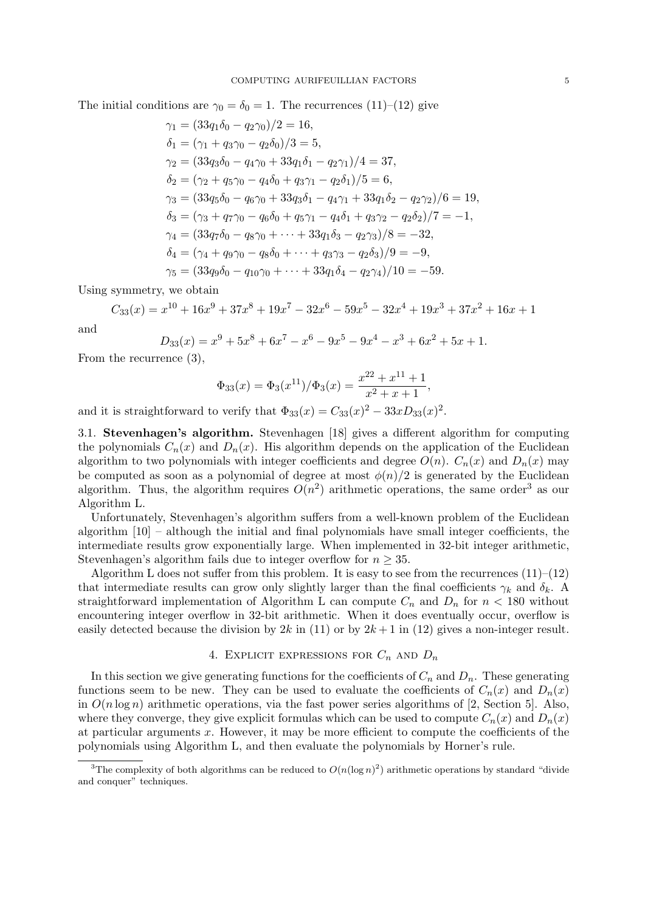The initial conditions are  $\gamma_0 = \delta_0 = 1$ . The recurrences (11)–(12) give

$$
\gamma_1 = (33q_1\delta_0 - q_2\gamma_0)/2 = 16,
$$
  
\n
$$
\delta_1 = (\gamma_1 + q_3\gamma_0 - q_2\delta_0)/3 = 5,
$$
  
\n
$$
\gamma_2 = (33q_3\delta_0 - q_4\gamma_0 + 33q_1\delta_1 - q_2\gamma_1)/4 = 37,
$$
  
\n
$$
\delta_2 = (\gamma_2 + q_5\gamma_0 - q_4\delta_0 + q_3\gamma_1 - q_2\delta_1)/5 = 6,
$$
  
\n
$$
\gamma_3 = (33q_5\delta_0 - q_6\gamma_0 + 33q_3\delta_1 - q_4\gamma_1 + 33q_1\delta_2 - q_2\gamma_2)/6 = 19,
$$
  
\n
$$
\delta_3 = (\gamma_3 + q_7\gamma_0 - q_6\delta_0 + q_5\gamma_1 - q_4\delta_1 + q_3\gamma_2 - q_2\delta_2)/7 = -1,
$$
  
\n
$$
\gamma_4 = (33q_7\delta_0 - q_8\gamma_0 + \dots + 33q_1\delta_3 - q_2\gamma_3)/8 = -32,
$$
  
\n
$$
\delta_4 = (\gamma_4 + q_9\gamma_0 - q_8\delta_0 + \dots + q_3\gamma_3 - q_2\delta_3)/9 = -9,
$$
  
\n
$$
\gamma_5 = (33q_9\delta_0 - q_{10}\gamma_0 + \dots + 33q_1\delta_4 - q_2\gamma_4)/10 = -59.
$$

Using symmetry, we obtain

$$
C_{33}(x) = x^{10} + 16x^9 + 37x^8 + 19x^7 - 32x^6 - 59x^5 - 32x^4 + 19x^3 + 37x^2 + 16x + 1
$$

and

$$
D_{33}(x) = x^9 + 5x^8 + 6x^7 - x^6 - 9x^5 - 9x^4 - x^3 + 6x^2 + 5x + 1.
$$

From the recurrence (3),

$$
\Phi_{33}(x) = \Phi_3(x^{11})/\Phi_3(x) = \frac{x^{22} + x^{11} + 1}{x^2 + x + 1},
$$

and it is straightforward to verify that  $\Phi_{33}(x) = C_{33}(x)^2 - 33xD_{33}(x)^2$ .

3.1. Stevenhagen's algorithm. Stevenhagen [18] gives a different algorithm for computing the polynomials  $C_n(x)$  and  $D_n(x)$ . His algorithm depends on the application of the Euclidean algorithm to two polynomials with integer coefficients and degree  $O(n)$ .  $C_n(x)$  and  $D_n(x)$  may be computed as soon as a polynomial of degree at most  $\phi(n)/2$  is generated by the Euclidean algorithm. Thus, the algorithm requires  $O(n^2)$  arithmetic operations, the same order<sup>3</sup> as our Algorithm L.

Unfortunately, Stevenhagen's algorithm suffers from a well-known problem of the Euclidean algorithm  $[10]$  – although the initial and final polynomials have small integer coefficients, the intermediate results grow exponentially large. When implemented in 32-bit integer arithmetic, Stevenhagen's algorithm fails due to integer overflow for  $n \geq 35$ .

Algorithm L does not suffer from this problem. It is easy to see from the recurrences  $(11)–(12)$ that intermediate results can grow only slightly larger than the final coefficients  $\gamma_k$  and  $\delta_k$ . A straightforward implementation of Algorithm L can compute  $C_n$  and  $D_n$  for  $n < 180$  without encountering integer overflow in 32-bit arithmetic. When it does eventually occur, overflow is easily detected because the division by  $2k$  in (11) or by  $2k+1$  in (12) gives a non-integer result.

### 4. EXPLICIT EXPRESSIONS FOR  $C_n$  and  $D_n$

In this section we give generating functions for the coefficients of  $C_n$  and  $D_n$ . These generating functions seem to be new. They can be used to evaluate the coefficients of  $C_n(x)$  and  $D_n(x)$ in  $O(n \log n)$  arithmetic operations, via the fast power series algorithms of [2, Section 5]. Also, where they converge, they give explicit formulas which can be used to compute  $C_n(x)$  and  $D_n(x)$ at particular arguments  $x$ . However, it may be more efficient to compute the coefficients of the polynomials using Algorithm L, and then evaluate the polynomials by Horner's rule.

<sup>&</sup>lt;sup>3</sup>The complexity of both algorithms can be reduced to  $O(n(\log n)^2)$  arithmetic operations by standard "divide" and conquer" techniques.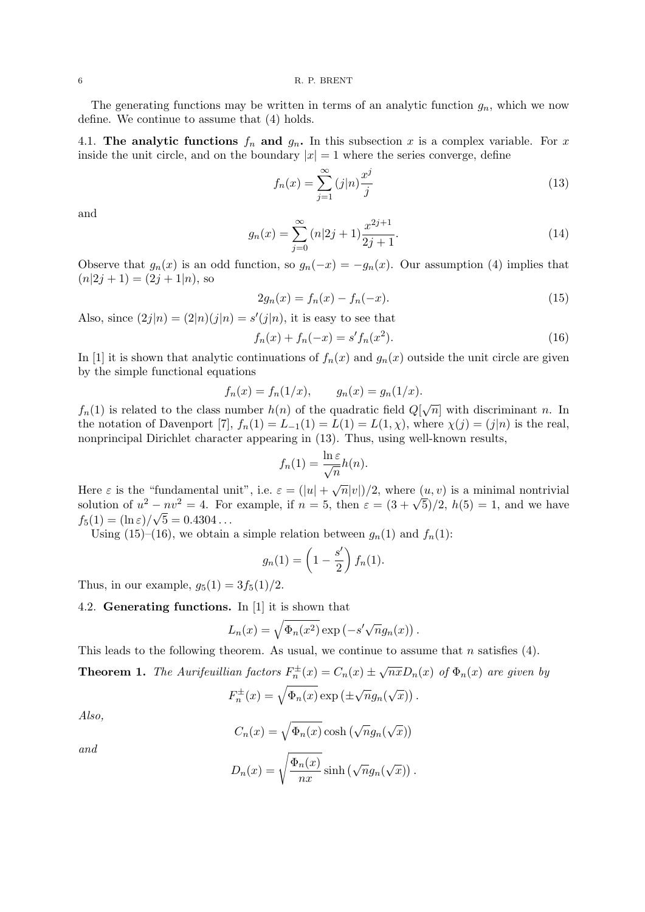The generating functions may be written in terms of an analytic function  $g_n$ , which we now define. We continue to assume that (4) holds.

4.1. The analytic functions  $f_n$  and  $g_n$ . In this subsection x is a complex variable. For x inside the unit circle, and on the boundary  $|x| = 1$  where the series converge, define

$$
f_n(x) = \sum_{j=1}^{\infty} (j|n) \frac{x^j}{j}
$$
\n(13)

and

$$
g_n(x) = \sum_{j=0}^{\infty} (n|2j+1) \frac{x^{2j+1}}{2j+1}.
$$
 (14)

Observe that  $g_n(x)$  is an odd function, so  $g_n(-x) = -g_n(x)$ . Our assumption (4) implies that  $(n|2j + 1) = (2j + 1|n)$ , so

$$
2g_n(x) = f_n(x) - f_n(-x).
$$
 (15)

Also, since  $(2j|n) = (2|n)(j|n) = s'(j|n)$ , it is easy to see that

$$
f_n(x) + f_n(-x) = s' f_n(x^2).
$$
 (16)

In [1] it is shown that analytic continuations of  $f_n(x)$  and  $g_n(x)$  outside the unit circle are given by the simple functional equations

$$
f_n(x) = f_n(1/x), \qquad g_n(x) = g_n(1/x).
$$

 $f_n(1)$  is related to the class number  $h(n)$  of the quadratic field  $Q[\sqrt{n}]$  with discriminant n. In the notation of Davenport [7],  $f_n(1) = L_{-1}(1) = L(1, \chi)$ , where  $\chi(j) = (j|n)$  is the real, nonprincipal Dirichlet character appearing in (13). Thus, using well-known results,

$$
f_n(1) = \frac{\ln \varepsilon}{\sqrt{n}} h(n).
$$

Here  $\varepsilon$  is the "fundamental unit", i.e.  $\varepsilon = (|u| + \sqrt{n}|v|)/2$ , where  $(u, v)$  is a minimal nontrivial solution of  $u^2 - nv^2 = 4$ . For example, if  $n = 5$ , then  $\varepsilon = (3 + \sqrt{5})/2$ ,  $h(5) = 1$ , and we have  $f_5(1) = (\ln \varepsilon)/\sqrt{5} = 0.4304...$ 

Using (15)–(16), we obtain a simple relation between  $g_n(1)$  and  $f_n(1)$ :

$$
g_n(1) = \left(1 - \frac{s'}{2}\right) f_n(1).
$$

Thus, in our example,  $g_5(1) = 3f_5(1)/2$ .

### 4.2. Generating functions. In [1] it is shown that

$$
L_n(x) = \sqrt{\Phi_n(x^2)} \exp(-s' \sqrt{n} g_n(x)).
$$

This leads to the following theorem. As usual, we continue to assume that n satisfies  $(4)$ .

**Theorem 1.** The Aurifeuillian factors 
$$
F_n^{\pm}(x) = C_n(x) \pm \sqrt{nx} D_n(x)
$$
 of  $\Phi_n(x)$  are given by

$$
F_n^{\pm}(x) = \sqrt{\Phi_n(x)} \exp (\pm \sqrt{n} g_n(\sqrt{x})).
$$

Also,

$$
C_n(x) = \sqrt{\Phi_n(x)} \cosh(\sqrt{n}g_n(\sqrt{x}))
$$

and

$$
D_n(x) = \sqrt{\frac{\Phi_n(x)}{nx}} \sinh(\sqrt{n}g_n(\sqrt{x})).
$$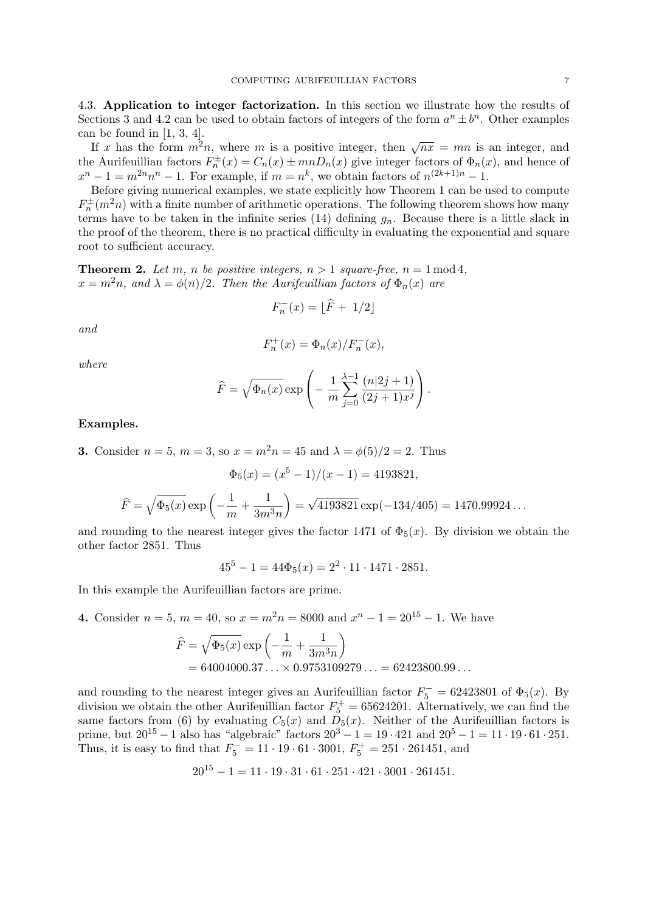4.3. Application to integer factorization. In this section we illustrate how the results of Sections 3 and 4.2 can be used to obtain factors of integers of the form  $a^n \pm b^n$ . Other examples can be found in  $[1, 3, 4]$ .

If x has the form  $m^2n$ , where m is a positive integer, then  $\sqrt{nx} = mn$  is an integer, and the Aurifeuillian factors  $F_n^{\pm}(x) = C_n(x) \pm mnD_n(x)$  give integer factors of  $\Phi_n(x)$ , and hence of  $x^{n}-1=m^{2n}n^{n}-1$ . For example, if  $m=n^{k}$ , we obtain factors of  $n^{(2k+1)n}-1$ .

Before giving numerical examples, we state explicitly how Theorem 1 can be used to compute  $F_n^{\pm}(m^2n)$  with a finite number of arithmetic operations. The following theorem shows how many terms have to be taken in the infinite series (14) defining  $g_n$ . Because there is a little slack in the proof of the theorem, there is no practical difficulty in evaluating the exponential and square root to sufficient accuracy.

**Theorem 2.** Let m, n be positive integers,  $n > 1$  square-free,  $n = 1 \mod 4$ ,  $x = m^2n$ , and  $\lambda = \phi(n)/2$ . Then the Aurificullian factors of  $\Phi_n(x)$  are

$$
F_n^-(x) = \lfloor \widehat{F} + 1/2 \rfloor
$$

and

$$
F_n^+(x) = \Phi_n(x) / F_n^-(x),
$$

where

$$
\widehat{F} = \sqrt{\Phi_n(x)} \exp\left(-\frac{1}{m} \sum_{j=0}^{\lambda-1} \frac{(n|2j+1)}{(2j+1)x^j}\right).
$$

# Examples.

**3.** Consider  $n = 5$ ,  $m = 3$ , so  $x = m^2 n = 45$  and  $\lambda = \phi(5)/2 = 2$ . Thus

$$
\Phi_5(x) = (x^5 - 1)/(x - 1) = 4193821,
$$
  

$$
\hat{F} = \sqrt{\Phi_5(x)} \exp\left(-\frac{1}{m} + \frac{1}{3m^3n}\right) = \sqrt{4193821} \exp(-134/405) = 1470.99924...
$$

and rounding to the nearest integer gives the factor 1471 of  $\Phi_5(x)$ . By division we obtain the other factor 2851. Thus

$$
455 - 1 = 44\Phi_5(x) = 22 \cdot 11 \cdot 1471 \cdot 2851.
$$

In this example the Aurifeuillian factors are prime.

4. Consider  $n = 5$ ,  $m = 40$ , so  $x = m^2 n = 8000$  and  $x^n - 1 = 20^{15} - 1$ . We have

$$
\widehat{F} = \sqrt{\Phi_5(x)} \exp\left(-\frac{1}{m} + \frac{1}{3m^3n}\right)
$$
  
= 64004000.37 ... × 0.9753109279 ... = 62423800.99 ...

and rounding to the nearest integer gives an Aurifeuillian factor  $F_5^- = 62423801$  of  $\Phi_5(x)$ . By division we obtain the other Aurifeuillian factor  $F_5^+ = 65624201$ . Alternatively, we can find the same factors from (6) by evaluating  $C_5(x)$  and  $D_5(x)$ . Neither of the Aurifeuillian factors is prime, but  $20^{15} - 1$  also has "algebraic" factors  $20^3 - 1 = 19 \cdot 421$  and  $20^5 - 1 = 11 \cdot 19 \cdot 61 \cdot 251$ . Thus, it is easy to find that  $F_5^- = 11 \cdot 19 \cdot 61 \cdot 3001$ ,  $F_5^+ = 251 \cdot 261451$ , and

$$
20^{15} - 1 = 11 \cdot 19 \cdot 31 \cdot 61 \cdot 251 \cdot 421 \cdot 3001 \cdot 261451.
$$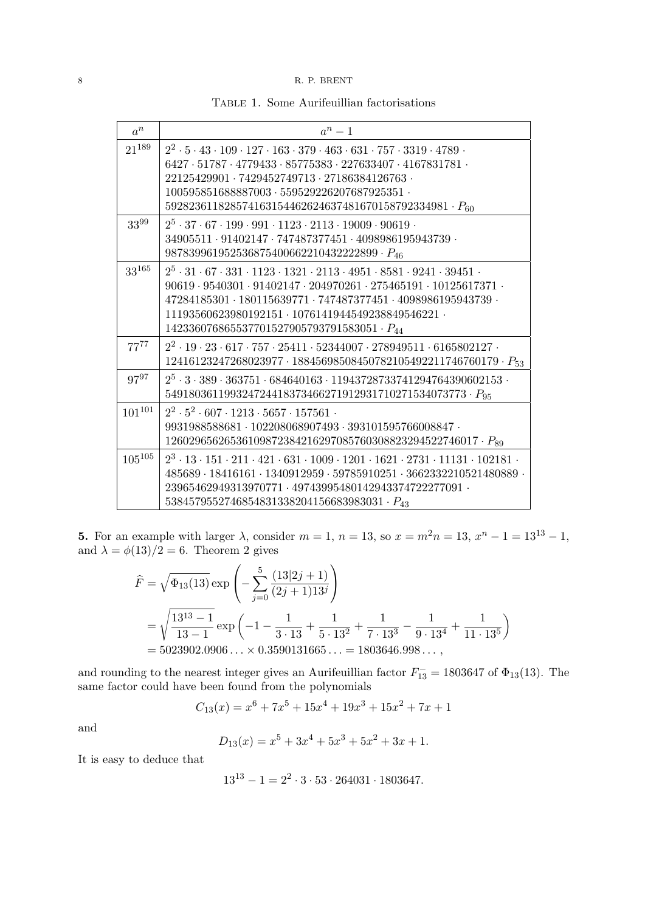# 8 R. P. BRENT

Table 1. Some Aurifeuillian factorisations

| $a^n$       | $a^n-1$                                                                                                                           |
|-------------|-----------------------------------------------------------------------------------------------------------------------------------|
| $21^{189}$  | $2^2 \cdot 5 \cdot 43 \cdot 109 \cdot 127 \cdot 163 \cdot 379 \cdot 463 \cdot 631 \cdot 757 \cdot 3319 \cdot 4789$                |
|             | $6427 \cdot 51787 \cdot 4779433 \cdot 85775383 \cdot 227633407 \cdot 4167831781 \cdot$                                            |
|             | $22125429901 \cdot 7429452749713 \cdot 27186384126763 \cdot$                                                                      |
|             | $100595851688887003 \cdot 559529226207687925351 \cdot$                                                                            |
|             | $592823611828574163154462624637481670158792334981 \cdot P_{60}$                                                                   |
| 3399        | $2^5 \cdot 37 \cdot 67 \cdot 199 \cdot 991 \cdot 1123 \cdot 2113 \cdot 19009 \cdot 90619$ .                                       |
|             | $34905511 \cdot 91402147 \cdot 747487377451 \cdot 4098986195943739 \cdot$                                                         |
|             | 987839961952536875400662210432222899 $\cdot$ $P_{46}$                                                                             |
| $33^{165}$  | $2^5 \cdot 31 \cdot 67 \cdot 331 \cdot 1123 \cdot 1321 \cdot 2113 \cdot 4951 \cdot 8581 \cdot 9241 \cdot 39451$ .                 |
|             | $90619 \cdot 9540301 \cdot 91402147 \cdot 204970261 \cdot 275465191 \cdot 10125617371 \cdot$                                      |
|             | $47284185301 \cdot 180115639771 \cdot 747487377451 \cdot 4098986195943739$                                                        |
|             | $11193560623980192151\cdot 1076141944549238849546221$                                                                             |
|             | 142336076865537701527905793791583051 $\cdot$ $P_{44}$                                                                             |
| $77^{77}$   | $2^2 \cdot 19 \cdot 23 \cdot 617 \cdot 757 \cdot 25411 \cdot 52344007 \cdot 278949511 \cdot 6165802127$                           |
|             | 12416123247268023977 · 18845698508450782105492211746760179 · $P_{53}$                                                             |
| 9797        | $2^5 \cdot 3 \cdot 389 \cdot 363751 \cdot 684640163 \cdot 11943728733741294764390602153$                                          |
|             | $549180361199324724418373466271912931710271534073773 \cdot P_{95}$                                                                |
| $101^{101}$ | $2^2 \cdot 5^2 \cdot 607 \cdot 1213 \cdot 5657 \cdot 157561$ .                                                                    |
|             | $9931988588681 \cdot 102208068907493 \cdot 393101595766008847 \cdot$                                                              |
|             | 12602965626536109872384216297085760308823294522746017 $\cdot$ $P_{89}$                                                            |
| $105^{105}$ | $2^3 \cdot 13 \cdot 151 \cdot 211 \cdot 421 \cdot 631 \cdot 1009 \cdot 1201 \cdot 1621 \cdot 2731 \cdot 11131 \cdot 102181 \cdot$ |
|             | $485689 \cdot 18416161 \cdot 1340912959 \cdot 59785910251 \cdot 3662332210521480889 \cdot$                                        |
|             | 23965462949313970771 · 49743995480142943374722277091 ·                                                                            |
|             | $5384579552746854831338204156683983031 \cdot P_{43}$                                                                              |

**5.** For an example with larger  $\lambda$ , consider  $m = 1$ ,  $n = 13$ , so  $x = m^2 n = 13$ ,  $x^n - 1 = 13^{13} - 1$ , and  $\lambda = \phi(13)/2 = 6$ . Theorem 2 gives

$$
\hat{F} = \sqrt{\Phi_{13}(13)} \exp\left(-\sum_{j=0}^{5} \frac{(13|2j+1)}{(2j+1)13^{j}}\right)
$$
  
=  $\sqrt{\frac{13^{13}-1}{13-1}} \exp\left(-1 - \frac{1}{3 \cdot 13} + \frac{1}{5 \cdot 13^{2}} + \frac{1}{7 \cdot 13^{3}} - \frac{1}{9 \cdot 13^{4}} + \frac{1}{11 \cdot 13^{5}}\right)$   
= 5023902.0906... × 0.3590131665... = 1803646.998...,

and rounding to the nearest integer gives an Aurifeuillian factor  $F_{13}^-$  = 1803647 of  $\Phi_{13}(13)$ . The same factor could have been found from the polynomials

$$
C_{13}(x) = x^6 + 7x^5 + 15x^4 + 19x^3 + 15x^2 + 7x + 1
$$

and

$$
D_{13}(x) = x^5 + 3x^4 + 5x^3 + 5x^2 + 3x + 1.
$$

It is easy to deduce that

$$
13^{13} - 1 = 2^2 \cdot 3 \cdot 53 \cdot 264031 \cdot 1803647.
$$